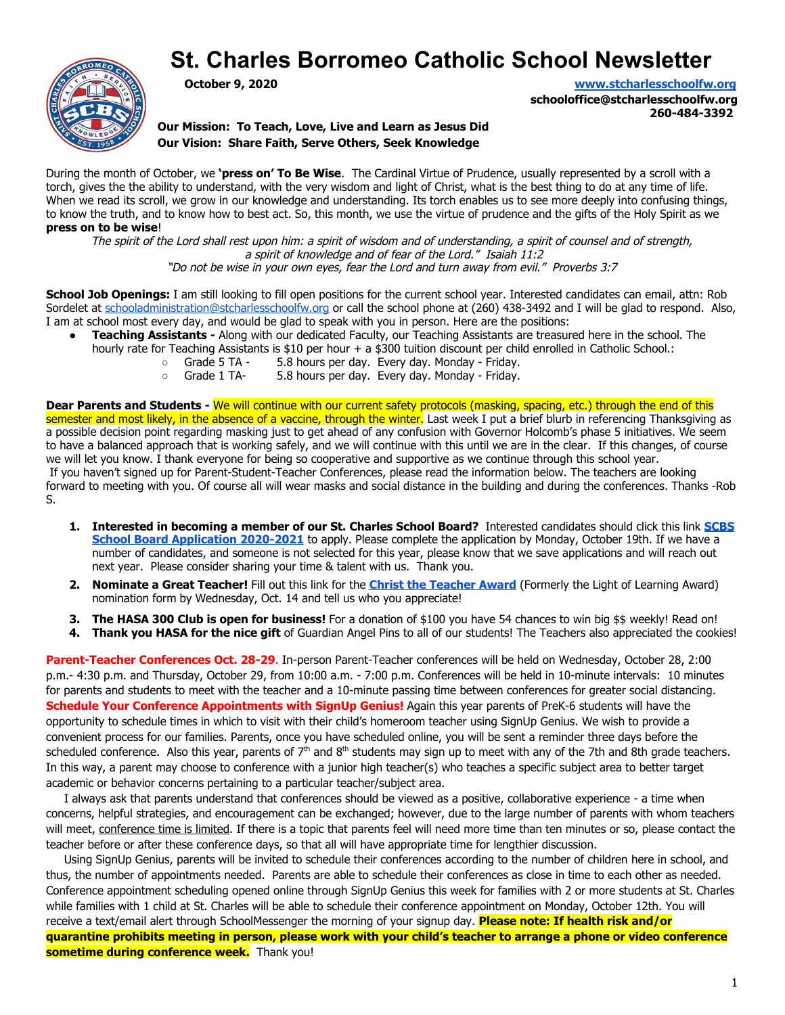# **St. Charles Borromeo Catholic School Newsletter**



**October 9, 2020 [www.stcharlesschoolfw.org](http://www.stcharlesschoolfw.org/)**

**schooloffice@stcharlesschoolfw.org 260-484-3392**

**Our Mission: To Teach, Love, Live and Learn as Jesus Did Our Vision: Share Faith, Serve Others, Seek Knowledge**

During the month of October, we **'press on' To Be Wise**. The Cardinal Virtue of Prudence, usually represented by a scroll with a torch, gives the the ability to understand, with the very wisdom and light of Christ, what is the best thing to do at any time of life. When we read its scroll, we grow in our knowledge and understanding. Its torch enables us to see more deeply into confusing things, to know the truth, and to know how to best act. So, this month, we use the virtue of prudence and the gifts of the Holy Spirit as we **press on to be wise**!

The spirit of the Lord shall rest upon him: a spirit of wisdom and of understanding, a spirit of counsel and of strength, a spirit of knowledge and of fear of the Lord." Isaiah 11:2

"Do not be wise in your own eyes, fear the Lord and turn away from evil." Proverbs 3:7

**School Job Openings:** I am still looking to fill open positions for the current school year. Interested candidates can email, attn: Rob Sordelet at [schooladministration@stcharlesschoolfw.org](mailto:schooladministration@stcharlesschoolfw.org) or call the school phone at (260) 438-3492 and I will be glad to respond. Also, I am at school most every day, and would be glad to speak with you in person. Here are the positions:

- **Teaching Assistants -** Along with our dedicated Faculty, our Teaching Assistants are treasured here in the school. The hourly rate for Teaching Assistants is \$10 per hour + a \$300 tuition discount per child enrolled in Catholic School.:
	- Grade 5 TA 5.8 hours per day. Every day. Monday Friday.
	- Grade 1 TA- 5.8 hours per day. Every day. Monday Friday.

**Dear Parents and Students -** We will continue with our current safety protocols (masking, spacing, etc.) through the end of this semester and most likely, in the absence of a vaccine, through the winter. Last week I put a brief blurb in referencing Thanksgiving as a possible decision point regarding masking just to get ahead of any confusion with Governor Holcomb's phase 5 initiatives. We seem to have a balanced approach that is working safely, and we will continue with this until we are in the clear. If this changes, of course we will let you know. I thank everyone for being so cooperative and supportive as we continue through this school year. If you haven't signed up for Parent-Student-Teacher Conferences, please read the information below. The teachers are looking forward to meeting with you. Of course all will wear masks and social distance in the building and during the conferences. Thanks -Rob S.

- **1. Interested in becoming a member of our St. Charles School Board?** Interested candidates should click this link **[SCBS](https://docs.google.com/forms/d/e/1FAIpQLSc4bmuL7I6DFP_CDmxyX8RXMsbgl8LbiXfhCQroG2FrtbYOxA/viewform?usp=sf_link) [School Board Application 2020-2021](https://docs.google.com/forms/d/e/1FAIpQLSc4bmuL7I6DFP_CDmxyX8RXMsbgl8LbiXfhCQroG2FrtbYOxA/viewform?usp=sf_link)** to apply. Please complete the application by Monday, October 19th. If we have a number of candidates, and someone is not selected for this year, please know that we save applications and will reach out next year. Please consider sharing your time & talent with us. Thank you.
- **2. Nominate a Great Teacher!** Fill out this link for the **[Christ the Teacher Award](https://docs.google.com/forms/d/e/1FAIpQLSeqTUjWhJaZpZsemSLmep6GkBIK1LoZfKOdW_uh9GjsE0z3UA/viewform?usp=sf_link)** (Formerly the Light of Learning Award) nomination formby Wednesday, Oct. 14 and tell us who you appreciate!
- **3. The HASA 300 Club is open for business!** For a donation of \$100 you have 54 chances to win big \$\$ weekly! Read on!
- **4. Thank you HASA for the nice gift** of Guardian Angel Pins to all of our students! The Teachers also appreciated the cookies!

**Parent-Teacher Conferences Oct. 28-29**. In-person Parent-Teacher conferences will be held on Wednesday, October 28, 2:00 p.m.- 4:30 p.m. and Thursday, October 29, from 10:00 a.m. - 7:00 p.m. Conferences will be held in 10-minute intervals: 10 minutes for parents and students to meet with the teacher and a 10-minute passing time between conferences for greater social distancing. **Schedule Your Conference Appointments with SignUp Genius!** Again this year parents of PreK-6 students will have the opportunity to schedule times in which to visit with their child's homeroom teacher using SignUp Genius. We wish to provide a convenient process for our families. Parents, once you have scheduled online, you will be sent a reminder three days before the scheduled conference. Also this year, parents of 7<sup>th</sup> and 8<sup>th</sup> students may sign up to meet with any of the 7th and 8th grade teachers. In this way, a parent may choose to conference with a junior high teacher(s) who teaches a specific subject area to better target academic or behavior concerns pertaining to a particular teacher/subject area.

 I always ask that parents understand that conferences should be viewed as a positive, collaborative experience - a time when concerns, helpful strategies, and encouragement can be exchanged; however, due to the large number of parents with whom teachers will meet, conference time is limited. If there is a topic that parents feel will need more time than ten minutes or so, please contact the teacher before or after these conference days, so that all will have appropriate time for lengthier discussion.

 Using SignUp Genius, parents will be invited to schedule their conferences according to the number of children here in school, and thus, the number of appointments needed. Parents are able to schedule their conferences as close in time to each other as needed. Conference appointment scheduling opened online through SignUp Genius this week for families with 2 or more students at St. Charles while families with 1 child at St. Charles will be able to schedule their conference appointment on Monday, October 12th. You will receive a text/email alert through SchoolMessenger the morning of your signup day. **Please note: If health risk and/or quarantine prohibits meeting in person, please work with your child's teacher to arrange a phone or video conference sometime during conference week.** Thank you!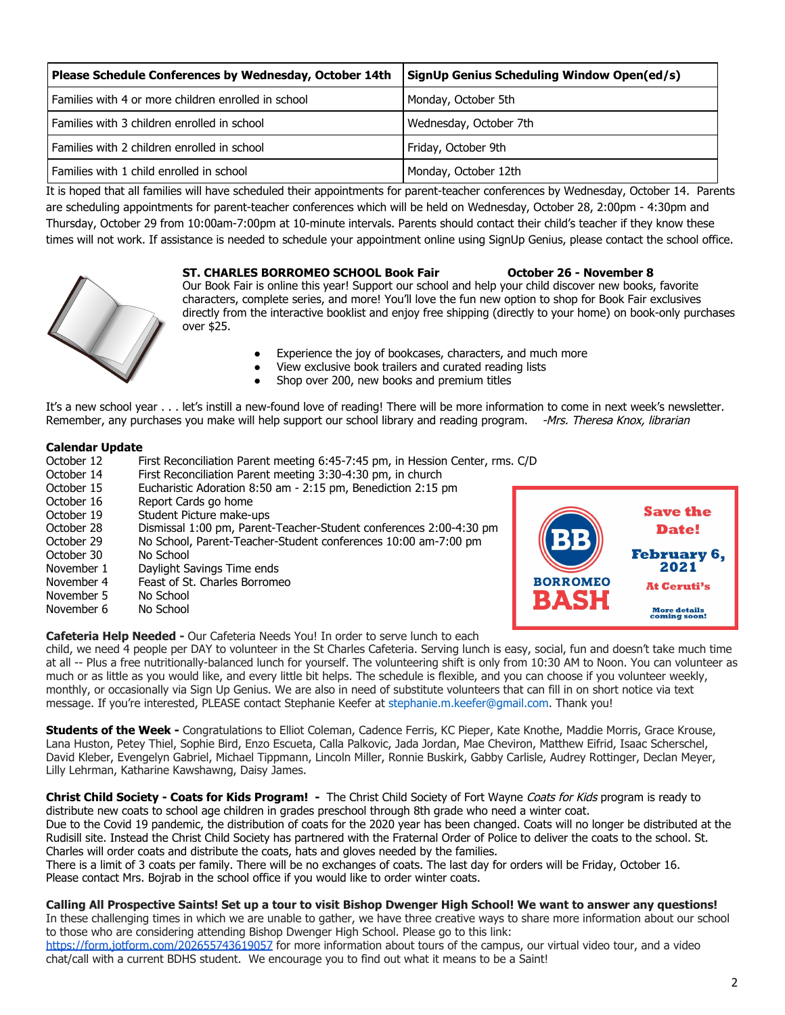| Please Schedule Conferences by Wednesday, October 14th | SignUp Genius Scheduling Window Open(ed/s) |
|--------------------------------------------------------|--------------------------------------------|
| Families with 4 or more children enrolled in school    | Monday, October 5th                        |
| Families with 3 children enrolled in school            | Wednesday, October 7th                     |
| Families with 2 children enrolled in school            | Friday, October 9th                        |
| Families with 1 child enrolled in school               | Monday, October 12th                       |

It is hoped that all families will have scheduled their appointments for parent-teacher conferences by Wednesday, October 14. Parents are scheduling appointments for parent-teacher conferences which will be held on Wednesday, October 28, 2:00pm - 4:30pm and Thursday, October 29 from 10:00am-7:00pm at 10-minute intervals. Parents should contact their child's teacher if they know these times will not work. If assistance is needed to schedule your appointment online using SignUp Genius, please contact the school office.



### **ST. CHARLES BORROMEO SCHOOL Book Fair October 26 - November 8**

Our Book Fair is online this year! Support our school and help your child discover new books, favorite characters, complete series, and more! You'll love the fun new option to shop for Book Fair exclusives directly from the interactive booklist and enjoy free shipping (directly to your home) on book-only purchases over \$25.

- Experience the joy of bookcases, characters, and much more
- View exclusive book trailers and curated reading lists
- Shop over 200, new books and premium titles

It's a new school year . . . let's instill a new-found love of reading! There will be more information to come in next week's newsletter. Remember, any purchases you make will help support our school library and reading program. -Mrs. Theresa Knox, librarian

#### **Calendar Update**

| October 12 | First Reconciliation Parent meeting 6:45-7:45 pm, in Hession Center, rms. C/D |                 |                                     |
|------------|-------------------------------------------------------------------------------|-----------------|-------------------------------------|
| October 14 | First Reconciliation Parent meeting 3:30-4:30 pm, in church                   |                 |                                     |
| October 15 | Eucharistic Adoration 8:50 am - 2:15 pm, Benediction 2:15 pm                  |                 |                                     |
| October 16 | Report Cards go home                                                          |                 |                                     |
| October 19 | Student Picture make-ups                                                      |                 | <b>Save the</b>                     |
| October 28 | Dismissal 1:00 pm, Parent-Teacher-Student conferences 2:00-4:30 pm            |                 | <b>Date!</b>                        |
| October 29 | No School, Parent-Teacher-Student conferences 10:00 am-7:00 pm                | 1313            |                                     |
| October 30 | No School                                                                     |                 | <b>February</b>                     |
| November 1 | Daylight Savings Time ends                                                    |                 | 2021                                |
| November 4 | Feast of St. Charles Borromeo                                                 | <b>BORROMEO</b> | <b>At Ceruti's</b>                  |
| November 5 | No School                                                                     | <b>BASH</b>     |                                     |
| November 6 | No School                                                                     |                 | <b>More details</b><br>coming soon! |

**Cafeteria Help Needed -** Our Cafeteria Needs You! In order to serve lunch to each

child, we need 4 people per DAY to volunteer in the St Charles Cafeteria. Serving lunch is easy, social, fun and doesn't take much time at all -- Plus a free nutritionally-balanced lunch for yourself. The volunteering shift is only from 10:30 AM to Noon. You can volunteer as much or as little as you would like, and every little bit helps. The schedule is flexible, and you can choose if you volunteer weekly, monthly, or occasionally via Sign Up Genius. We are also in need of substitute volunteers that can fill in on short notice via text message. If you're interested, PLEASE contact Stephanie Keefer at stephanie.m.keefer@gmail.com. Thank you!

**Students of the Week -** Congratulations to Elliot Coleman, Cadence Ferris, KC Pieper, Kate Knothe, Maddie Morris, Grace Krouse, Lana Huston, Petey Thiel, Sophie Bird, Enzo Escueta, Calla Palkovic, Jada Jordan, Mae Cheviron, Matthew Eifrid, Isaac Scherschel, David Kleber, Evengelyn Gabriel, Michael Tippmann, Lincoln Miller, Ronnie Buskirk, Gabby Carlisle, Audrey Rottinger, Declan Meyer, Lilly Lehrman, Katharine Kawshawng, Daisy James.

**Christ Child Society - Coats for Kids Program! -** The Christ Child Society of Fort Wayne Coats for Kids program is ready to distribute new coats to school age children in grades preschool through 8th grade who need a winter coat. Due to the Covid 19 pandemic, the distribution of coats for the 2020 year has been changed. Coats will no longer be distributed at the

Rudisill site. Instead the Christ Child Society has partnered with the Fraternal Order of Policeto deliver the coats to the school. St. Charles will order coats and distribute the coats, hats and gloves needed by the families.

There is a limit of 3 coats per family. There will be no exchanges of coats. The last day for orders will be Friday, October 16. Please contact Mrs. Bojrab in the school office if you would like to order winter coats.

## **Calling All Prospective Saints! Set up a tour to visit Bishop Dwenger High School! We want to answer any questions!**

In these challenging times in which we are unable to gather, we have three creative ways to share more information about our school to those who are considering attending Bishop Dwenger High School. Please go to this link:

<https://form.jotform.com/202655743619057>for more information about tours of the campus, our virtual video tour, and a video chat/call with a current BDHS student. We encourage you to find out what it means to be a Saint!

uary 6,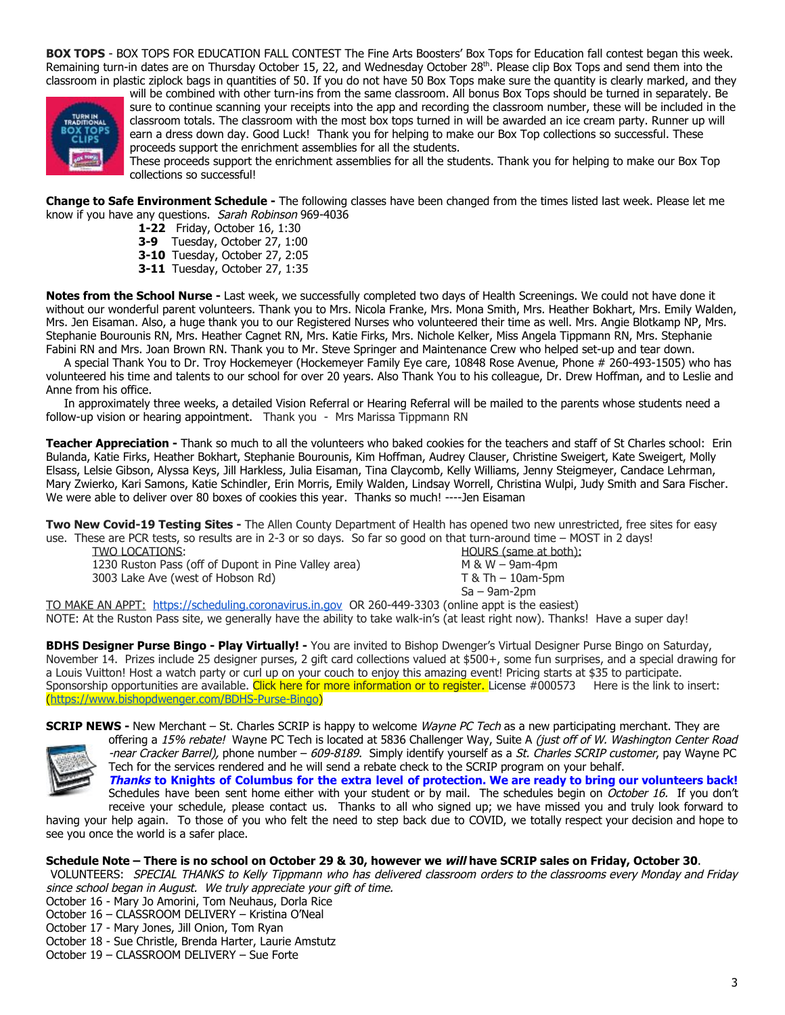**BOX TOPS** - BOX TOPS FOR EDUCATION FALL CONTEST The Fine Arts Boosters' Box Tops for Education fall contest began this week. Remaining turn-in dates are on Thursday October 15, 22, and Wednesday October 28<sup>th</sup>. Please clip Box Tops and send them into the classroom in plastic ziplock bags in quantities of 50. If you do not have 50 Box Tops make sure the quantity is clearly marked, and they



will be combined with other turn-ins from the same classroom. All bonus Box Tops should be turned in separately. Be sure to continue scanning your receipts into the app and recording the classroom number, these will be included in the classroom totals. The classroom with the most box tops turned in will be awarded an ice cream party. Runner up will earn a dress down day. Good Luck! Thank you for helping to make our Box Top collections so successful. These proceeds support the enrichment assemblies for all the students.

These proceeds support the enrichment assemblies for all the students. Thank you for helping to make our Box Top collections so successful!

**Change to Safe Environment Schedule -** The following classes have been changed from the times listed last week. Please let me know if you have any questions. Sarah Robinson 969-4036

- **1-22** Friday, October 16, 1:30
- **3-9** Tuesday, October 27, 1:00
- **3-10** Tuesday, October 27, 2:05
- **3-11** Tuesday, October 27, 1:35

**Notes from the School Nurse -** Last week, we successfully completed two days of Health Screenings. We could not have done it without our wonderful parent volunteers. Thank you to Mrs. Nicola Franke, Mrs. Mona Smith, Mrs. Heather Bokhart, Mrs. Emily Walden, Mrs. Jen Eisaman. Also, a huge thank you to our Registered Nurses who volunteered their time as well. Mrs. Angie Blotkamp NP, Mrs. Stephanie Bourounis RN, Mrs. Heather Cagnet RN, Mrs. Katie Firks, Mrs. Nichole Kelker, Miss Angela Tippmann RN, Mrs. Stephanie Fabini RN and Mrs. Joan Brown RN. Thank you to Mr. Steve Springer and Maintenance Crew who helped set-up and tear down.

 A special Thank You to Dr. Troy Hockemeyer (Hockemeyer Family Eye care, 10848 Rose Avenue, Phone # 260-493-1505) who has volunteered his time and talents to our school for over 20 years. Also Thank You to his colleague, Dr. Drew Hoffman, and to Leslie and Anne from his office.

 In approximately three weeks, a detailed Vision Referral or Hearing Referral will be mailed to the parents whose students need a follow-up vision or hearing appointment. Thank you - Mrs Marissa Tippmann RN

**Teacher Appreciation -** Thank so much to all the volunteers who baked cookies for the teachers and staff of St Charles school: Erin Bulanda, Katie Firks, Heather Bokhart, Stephanie Bourounis, Kim Hoffman, Audrey Clauser, Christine Sweigert, Kate Sweigert, Molly Elsass, Lelsie Gibson, Alyssa Keys, Jill Harkless, Julia Eisaman, Tina Claycomb, Kelly Williams, Jenny Steigmeyer, Candace Lehrman, Mary Zwierko, Kari Samons, Katie Schindler, Erin Morris, Emily Walden, Lindsay Worrell, Christina Wulpi, Judy Smith and Sara Fischer. We were able to deliver over 80 boxes of cookies this year. Thanks so much! ----Jen Eisaman

**Two New Covid-19 Testing Sites -** The Allen County Department of Health has opened two new unrestricted, free sites for easy use. These are PCR tests, so results are in 2-3 or so days. So far so good on that turn-around time – MOST in 2 days!

TWO LOCATIONS: **HOURS** (same at both): 1230 Ruston Pass (off of Dupont in Pine Valley area) M & W – 9am-4pm 3003 Lake Ave (west of Hobson Rd) T & Th – 10am-5pm

Sa – 9am-2pm

TO MAKE AN APPT: [https://scheduling.coronavirus.in.gov](https://scheduling.coronavirus.in.gov/) OR 260-449-3303 (online appt is the easiest) NOTE: At the Ruston Pass site, we generally have the ability to take walk-in's (at least right now). Thanks! Have a super day!

**BDHS Designer Purse Bingo - Play Virtually! -** You are invited to Bishop Dwenger's Virtual Designer Purse Bingo on Saturday, November 14. Prizes include 25 designer purses, 2 gift card collections valued at \$500+, some fun surprises, and a special drawing for a Louis Vuitton! Host a watch party or curl up on your couch to enjoy this amazing event! Pricing starts at \$35 to participate. Sponsorship opportunities are available. Click here for more information or to register. License #000573 Here is the link to insert: (<https://www.bishopdwenger.com/BDHS-Purse-Bingo>)

**SCRIP NEWS -** New Merchant – St. Charles SCRIP is happy to welcome *Wayne PC Tech* as a new participating merchant. They are



offering a 15% rebate! Wayne PC Tech is located at 5836 Challenger Way, Suite A (just off of W. Washington Center Road -near Cracker Barrel), phone number – 609-8189. Simply identify yourself as a St. Charles SCRIP customer, pay Wayne PC Tech for the services rendered and he will send a rebate check to the SCRIP program on your behalf. Thanks to Knights of Columbus for the extra level of protection. We are ready to bring our volunteers back! Schedules have been sent home either with your student or by mail. The schedules begin on October 16. If you don't

receive your schedule, please contact us. Thanks to all who signed up; we have missed you and truly look forward to having your help again. To those of you who felt the need to step back due to COVID, we totally respect your decision and hope to see you once the world is a safer place.

#### **Schedule Note – There is no school on October 29 & 30, however we will have SCRIP sales on Friday, October 30**.

VOLUNTEERS: SPECIAL THANKS to Kelly Tippmann who has delivered classroom orders to the classrooms every Monday and Friday since school began in August. We truly appreciate your gift of time.

- October 16 Mary Jo Amorini, Tom Neuhaus, Dorla Rice
- October 16 CLASSROOM DELIVERY Kristina O'Neal
- October 17 Mary Jones, Jill Onion, Tom Ryan
- October 18 Sue Christle, Brenda Harter, Laurie Amstutz
- October 19 CLASSROOM DELIVERY Sue Forte